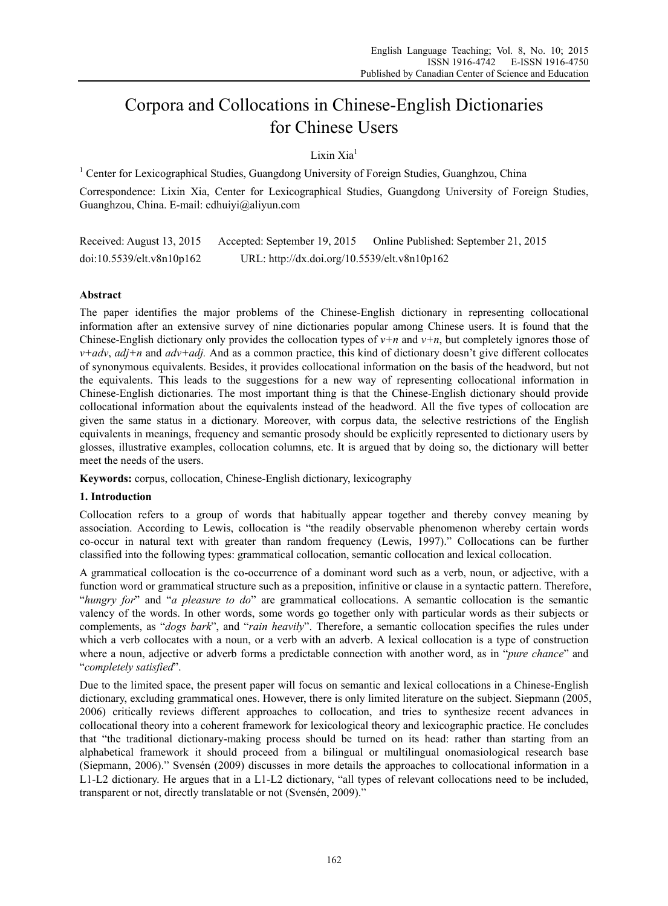# Corpora and Collocations in Chinese-English Dictionaries for Chinese Users

# Lixin Xia1

<sup>1</sup> Center for Lexicographical Studies, Guangdong University of Foreign Studies, Guanghzou, China

Correspondence: Lixin Xia, Center for Lexicographical Studies, Guangdong University of Foreign Studies, Guanghzou, China. E-mail: cdhuiyi@aliyun.com

Received: August 13, 2015 Accepted: September 19, 2015 Online Published: September 21, 2015 doi:10.5539/elt.v8n10p162 URL: http://dx.doi.org/10.5539/elt.v8n10p162

# **Abstract**

The paper identifies the major problems of the Chinese-English dictionary in representing collocational information after an extensive survey of nine dictionaries popular among Chinese users. It is found that the Chinese-English dictionary only provides the collocation types of  $v+n$  and  $v+n$ , but completely ignores those of *v+adv*, *adj+n* and *adv+adj.* And as a common practice, this kind of dictionary doesn't give different collocates of synonymous equivalents. Besides, it provides collocational information on the basis of the headword, but not the equivalents. This leads to the suggestions for a new way of representing collocational information in Chinese-English dictionaries. The most important thing is that the Chinese-English dictionary should provide collocational information about the equivalents instead of the headword. All the five types of collocation are given the same status in a dictionary. Moreover, with corpus data, the selective restrictions of the English equivalents in meanings, frequency and semantic prosody should be explicitly represented to dictionary users by glosses, illustrative examples, collocation columns, etc. It is argued that by doing so, the dictionary will better meet the needs of the users.

**Keywords:** corpus, collocation, Chinese-English dictionary, lexicography

#### **1. Introduction**

Collocation refers to a group of words that habitually appear together and thereby convey meaning by association. According to Lewis, collocation is "the readily observable phenomenon whereby certain words co-occur in natural text with greater than random frequency (Lewis, 1997)." Collocations can be further classified into the following types: grammatical collocation, semantic collocation and lexical collocation.

A grammatical collocation is the co-occurrence of a dominant word such as a verb, noun, or adjective, with a function word or grammatical structure such as a preposition, infinitive or clause in a syntactic pattern. Therefore, "*hungry for*" and "*a pleasure to do*" are grammatical collocations. A semantic collocation is the semantic valency of the words. In other words, some words go together only with particular words as their subjects or complements, as "*dogs bark*", and "*rain heavily*". Therefore, a semantic collocation specifies the rules under which a verb collocates with a noun, or a verb with an adverb. A lexical collocation is a type of construction where a noun, adjective or adverb forms a predictable connection with another word, as in "*pure chance*" and "*completely satisfied*".

Due to the limited space, the present paper will focus on semantic and lexical collocations in a Chinese-English dictionary, excluding grammatical ones. However, there is only limited literature on the subject. Siepmann (2005, 2006) critically reviews different approaches to collocation, and tries to synthesize recent advances in collocational theory into a coherent framework for lexicological theory and lexicographic practice. He concludes that "the traditional dictionary-making process should be turned on its head: rather than starting from an alphabetical framework it should proceed from a bilingual or multilingual onomasiological research base (Siepmann, 2006)." Svensén (2009) discusses in more details the approaches to collocational information in a L1-L2 dictionary. He argues that in a L1-L2 dictionary, "all types of relevant collocations need to be included, transparent or not, directly translatable or not (Svensén, 2009)."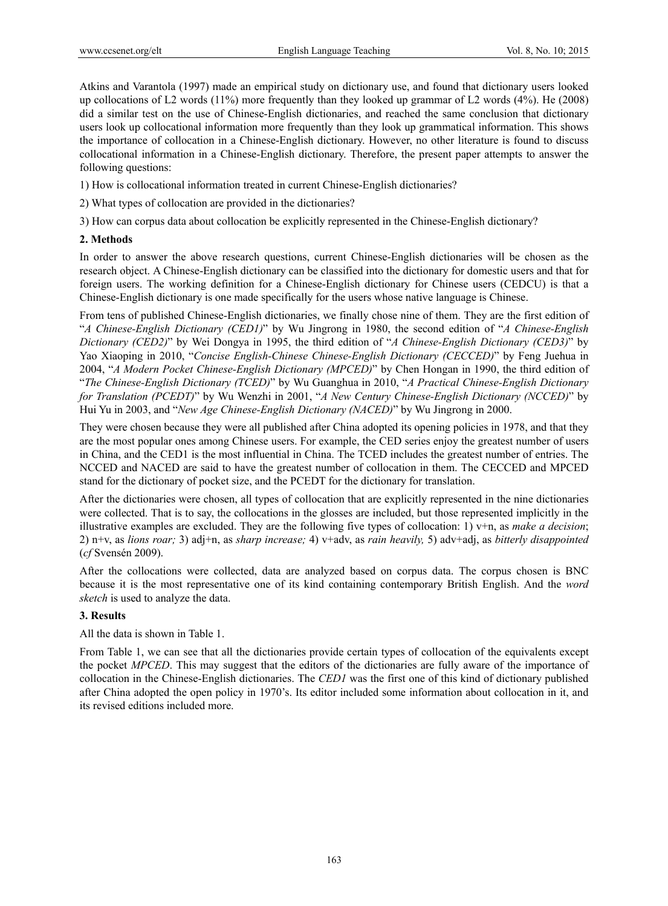Atkins and Varantola (1997) made an empirical study on dictionary use, and found that dictionary users looked up collocations of L2 words (11%) more frequently than they looked up grammar of L2 words (4%). He (2008) did a similar test on the use of Chinese-English dictionaries, and reached the same conclusion that dictionary users look up collocational information more frequently than they look up grammatical information. This shows the importance of collocation in a Chinese-English dictionary. However, no other literature is found to discuss collocational information in a Chinese-English dictionary. Therefore, the present paper attempts to answer the following questions:

- 1) How is collocational information treated in current Chinese-English dictionaries?
- 2) What types of collocation are provided in the dictionaries?
- 3) How can corpus data about collocation be explicitly represented in the Chinese-English dictionary?

#### **2. Methods**

In order to answer the above research questions, current Chinese-English dictionaries will be chosen as the research object. A Chinese-English dictionary can be classified into the dictionary for domestic users and that for foreign users. The working definition for a Chinese-English dictionary for Chinese users (CEDCU) is that a Chinese-English dictionary is one made specifically for the users whose native language is Chinese.

From tens of published Chinese-English dictionaries, we finally chose nine of them. They are the first edition of "*A Chinese-English Dictionary (CED1)*" by Wu Jingrong in 1980, the second edition of "*A Chinese-English Dictionary (CED2)*" by Wei Dongya in 1995, the third edition of "*A Chinese-English Dictionary (CED3)*" by Yao Xiaoping in 2010, "*Concise English-Chinese Chinese-English Dictionary (CECCED)*" by Feng Juehua in 2004, "*A Modern Pocket Chinese-English Dictionary (MPCED)*" by Chen Hongan in 1990, the third edition of "*The Chinese-English Dictionary (TCED)*" by Wu Guanghua in 2010, "*A Practical Chinese-English Dictionary for Translation (PCEDT)*" by Wu Wenzhi in 2001, "*A New Century Chinese-English Dictionary (NCCED)*" by Hui Yu in 2003, and "*New Age Chinese-English Dictionary (NACED)*" by Wu Jingrong in 2000.

They were chosen because they were all published after China adopted its opening policies in 1978, and that they are the most popular ones among Chinese users. For example, the CED series enjoy the greatest number of users in China, and the CED1 is the most influential in China. The TCED includes the greatest number of entries. The NCCED and NACED are said to have the greatest number of collocation in them. The CECCED and MPCED stand for the dictionary of pocket size, and the PCEDT for the dictionary for translation.

After the dictionaries were chosen, all types of collocation that are explicitly represented in the nine dictionaries were collected. That is to say, the collocations in the glosses are included, but those represented implicitly in the illustrative examples are excluded. They are the following five types of collocation: 1) v+n, as *make a decision*; 2) n+v, as *lions roar;* 3) adj+n, as *sharp increase;* 4) v+adv, as *rain heavily,* 5) adv+adj, as *bitterly disappointed* (*cf* Svensén 2009).

After the collocations were collected, data are analyzed based on corpus data. The corpus chosen is BNC because it is the most representative one of its kind containing contemporary British English. And the *word sketch* is used to analyze the data.

#### **3. Results**

All the data is shown in Table 1.

From Table 1, we can see that all the dictionaries provide certain types of collocation of the equivalents except the pocket *MPCED*. This may suggest that the editors of the dictionaries are fully aware of the importance of collocation in the Chinese-English dictionaries. The *CED1* was the first one of this kind of dictionary published after China adopted the open policy in 1970's. Its editor included some information about collocation in it, and its revised editions included more.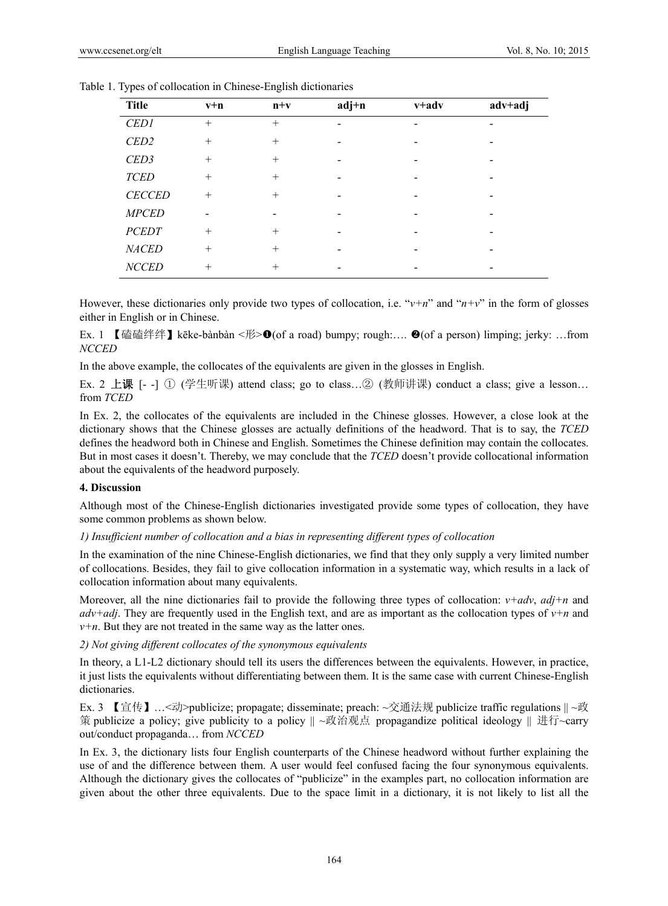| <b>Title</b>     | $v+n$  | $n+v$  | adj+n | v+adv | $adv+adj$ |
|------------------|--------|--------|-------|-------|-----------|
| <b>CED1</b>      | $^{+}$ | $^{+}$ |       |       |           |
| CED <sub>2</sub> | $^{+}$ | $+$    |       |       |           |
| CED3             | $^{+}$ | $+$    |       |       |           |
| <b>TCED</b>      | $^{+}$ | $+$    |       |       |           |
| <b>CECCED</b>    | $^{+}$ | $+$    |       |       |           |
| MPCED            |        |        |       |       | -         |
| <b>PCEDT</b>     | $^{+}$ | $+$    |       |       |           |
| <b>NACED</b>     | $^{+}$ | $+$    |       |       |           |
| <b>NCCED</b>     | $^{+}$ | $^{+}$ |       |       |           |

Table 1. Types of collocation in Chinese-English dictionaries

However, these dictionaries only provide two types of collocation, i.e. " $v+n$ " and " $n+v$ " in the form of glosses either in English or in Chinese.

Ex. 1 【磕磕绊绊】kēke-bànbàn <形> $\Theta$ (of a road) bumpy; rough:....  $\Theta$ (of a person) limping; jerky: ...from *NCCED*

In the above example, the collocates of the equivalents are given in the glosses in English.

Ex. 2 上课 [--] ① (学生听课) attend class; go to class...② (教师讲课) conduct a class; give a lesson... from *TCED*

In Ex. 2, the collocates of the equivalents are included in the Chinese glosses. However, a close look at the dictionary shows that the Chinese glosses are actually definitions of the headword. That is to say, the *TCED* defines the headword both in Chinese and English. Sometimes the Chinese definition may contain the collocates. But in most cases it doesn't. Thereby, we may conclude that the *TCED* doesn't provide collocational information about the equivalents of the headword purposely.

#### **4. Discussion**

Although most of the Chinese-English dictionaries investigated provide some types of collocation, they have some common problems as shown below.

*1) Insufficient number of collocation and a bias in representing different types of collocation* 

In the examination of the nine Chinese-English dictionaries, we find that they only supply a very limited number of collocations. Besides, they fail to give collocation information in a systematic way, which results in a lack of collocation information about many equivalents.

Moreover, all the nine dictionaries fail to provide the following three types of collocation: *v+adv*, *adj+n* and *adv+adj*. They are frequently used in the English text, and are as important as the collocation types of *v+n* and  $v+n$ . But they are not treated in the same way as the latter ones.

*2) Not giving different collocates of the synonymous equivalents* 

In theory, a L1-L2 dictionary should tell its users the differences between the equivalents. However, in practice, it just lists the equivalents without differentiating between them. It is the same case with current Chinese-English dictionaries.

Ex. 3 【宣传】…<动>publicize; propagate; disseminate; preach: ~交通法规 publicize traffic regulations  $\sim \pi$ 策 publicize a policy; give publicity to a policy || ~政治观点 propagandize political ideology || 进行~carry out/conduct propaganda… from *NCCED*

In Ex. 3, the dictionary lists four English counterparts of the Chinese headword without further explaining the use of and the difference between them. A user would feel confused facing the four synonymous equivalents. Although the dictionary gives the collocates of "publicize" in the examples part, no collocation information are given about the other three equivalents. Due to the space limit in a dictionary, it is not likely to list all the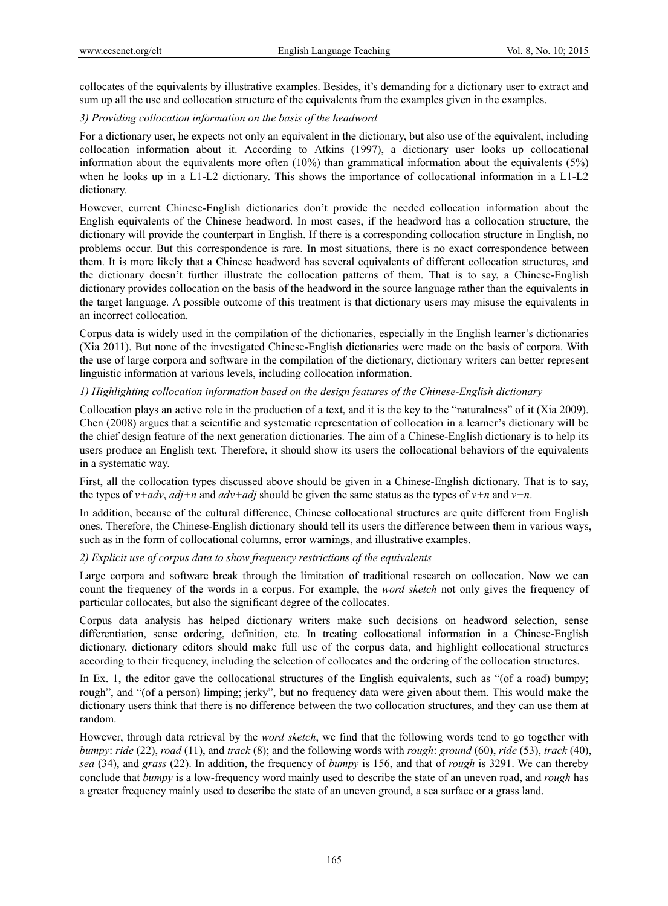collocates of the equivalents by illustrative examples. Besides, it's demanding for a dictionary user to extract and sum up all the use and collocation structure of the equivalents from the examples given in the examples.

# *3) Providing collocation information on the basis of the headword*

For a dictionary user, he expects not only an equivalent in the dictionary, but also use of the equivalent, including collocation information about it. According to Atkins (1997), a dictionary user looks up collocational information about the equivalents more often  $(10\%)$  than grammatical information about the equivalents  $(5\%)$ when he looks up in a L1-L2 dictionary. This shows the importance of collocational information in a L1-L2 dictionary.

However, current Chinese-English dictionaries don't provide the needed collocation information about the English equivalents of the Chinese headword. In most cases, if the headword has a collocation structure, the dictionary will provide the counterpart in English. If there is a corresponding collocation structure in English, no problems occur. But this correspondence is rare. In most situations, there is no exact correspondence between them. It is more likely that a Chinese headword has several equivalents of different collocation structures, and the dictionary doesn't further illustrate the collocation patterns of them. That is to say, a Chinese-English dictionary provides collocation on the basis of the headword in the source language rather than the equivalents in the target language. A possible outcome of this treatment is that dictionary users may misuse the equivalents in an incorrect collocation.

Corpus data is widely used in the compilation of the dictionaries, especially in the English learner's dictionaries (Xia 2011). But none of the investigated Chinese-English dictionaries were made on the basis of corpora. With the use of large corpora and software in the compilation of the dictionary, dictionary writers can better represent linguistic information at various levels, including collocation information.

# *1) Highlighting collocation information based on the design features of the Chinese-English dictionary*

Collocation plays an active role in the production of a text, and it is the key to the "naturalness" of it (Xia 2009). Chen (2008) argues that a scientific and systematic representation of collocation in a learner's dictionary will be the chief design feature of the next generation dictionaries. The aim of a Chinese-English dictionary is to help its users produce an English text. Therefore, it should show its users the collocational behaviors of the equivalents in a systematic way.

First, all the collocation types discussed above should be given in a Chinese-English dictionary. That is to say, the types of  $v+adv$ ,  $adj+n$  and  $adv+adj$  should be given the same status as the types of  $v+n$  and  $v+n$ .

In addition, because of the cultural difference, Chinese collocational structures are quite different from English ones. Therefore, the Chinese-English dictionary should tell its users the difference between them in various ways, such as in the form of collocational columns, error warnings, and illustrative examples.

#### *2) Explicit use of corpus data to show frequency restrictions of the equivalents*

Large corpora and software break through the limitation of traditional research on collocation. Now we can count the frequency of the words in a corpus. For example, the *word sketch* not only gives the frequency of particular collocates, but also the significant degree of the collocates.

Corpus data analysis has helped dictionary writers make such decisions on headword selection, sense differentiation, sense ordering, definition, etc. In treating collocational information in a Chinese-English dictionary, dictionary editors should make full use of the corpus data, and highlight collocational structures according to their frequency, including the selection of collocates and the ordering of the collocation structures.

In Ex. 1, the editor gave the collocational structures of the English equivalents, such as "(of a road) bumpy; rough", and "(of a person) limping; jerky", but no frequency data were given about them. This would make the dictionary users think that there is no difference between the two collocation structures, and they can use them at random.

However, through data retrieval by the *word sketch*, we find that the following words tend to go together with *bumpy*: *ride* (22), *road* (11), and *track* (8); and the following words with *rough*: *ground* (60), *ride* (53), *track* (40), *sea* (34), and *grass* (22). In addition, the frequency of *bumpy* is 156, and that of *rough* is 3291. We can thereby conclude that *bumpy* is a low-frequency word mainly used to describe the state of an uneven road, and *rough* has a greater frequency mainly used to describe the state of an uneven ground, a sea surface or a grass land.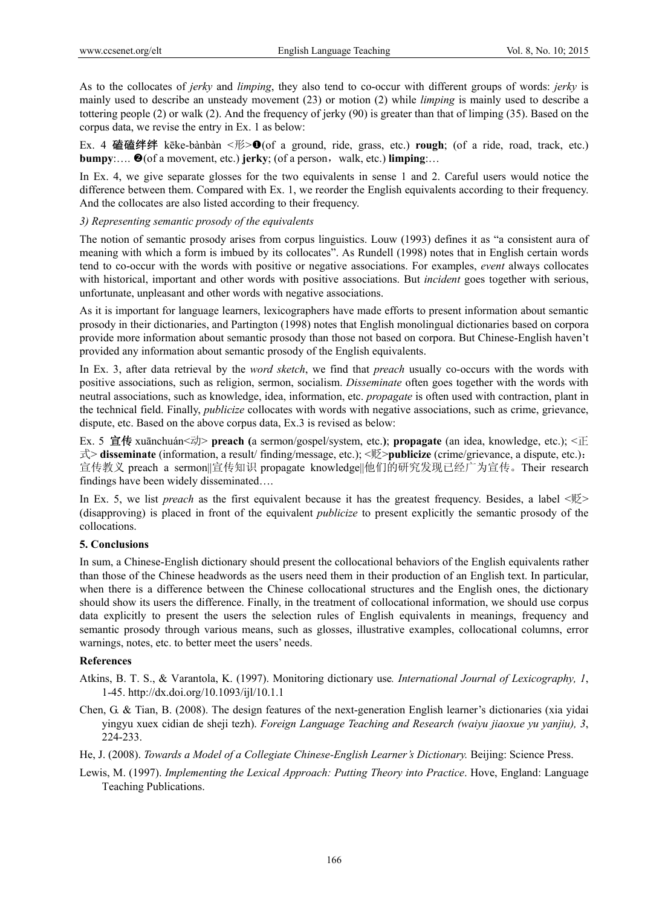As to the collocates of *jerky* and *limping*, they also tend to co-occur with different groups of words: *jerky* is mainly used to describe an unsteady movement (23) or motion (2) while *limping* is mainly used to describe a tottering people (2) or walk (2). And the frequency of jerky (90) is greater than that of limping (35). Based on the corpus data, we revise the entry in Ex. 1 as below:

Ex. 4 磕磕绊绊 kēke-bànbàn <形→❶(of a ground, ride, grass, etc.) **rough**; (of a ride, road, track, etc.) **bumpy**:....  $\Theta$  (of a movement, etc.) **jerky**; (of a person, walk, etc.) **limping**:...

In Ex. 4, we give separate glosses for the two equivalents in sense 1 and 2. Careful users would notice the difference between them. Compared with Ex. 1, we reorder the English equivalents according to their frequency. And the collocates are also listed according to their frequency.

#### *3) Representing semantic prosody of the equivalents*

The notion of semantic prosody arises from corpus linguistics. Louw (1993) defines it as "a consistent aura of meaning with which a form is imbued by its collocates". As Rundell (1998) notes that in English certain words tend to co-occur with the words with positive or negative associations. For examples, *event* always collocates with historical, important and other words with positive associations. But *incident* goes together with serious, unfortunate, unpleasant and other words with negative associations.

As it is important for language learners, lexicographers have made efforts to present information about semantic prosody in their dictionaries, and Partington (1998) notes that English monolingual dictionaries based on corpora provide more information about semantic prosody than those not based on corpora. But Chinese-English haven't provided any information about semantic prosody of the English equivalents.

In Ex. 3, after data retrieval by the *word sketch*, we find that *preach* usually co-occurs with the words with positive associations, such as religion, sermon, socialism. *Disseminate* often goes together with the words with neutral associations, such as knowledge, idea, information, etc. *propagate* is often used with contraction, plant in the technical field. Finally, *publicize* collocates with words with negative associations, such as crime, grievance, dispute, etc. Based on the above corpus data, Ex.3 is revised as below:

Ex. 5 宣传 xuānchuán<动> **preach (**a sermon/gospel/system, etc.**)**; **propagate** (an idea, knowledge, etc.); <正 式> **disseminate** (information, a result/ finding/message, etc.); <贬>**publicize** (crime/grievance, a dispute, etc.): 宣传教义 preach a sermon||宣传知识 propagate knowledge||他们的研究发现已经广为宣传。Their research findings have been widely disseminated….

In Ex. 5, we list *preach* as the first equivalent because it has the greatest frequency. Besides, a label  $\ll \mathbb{R}$ (disapproving) is placed in front of the equivalent *publicize* to present explicitly the semantic prosody of the collocations.

#### **5. Conclusions**

In sum, a Chinese-English dictionary should present the collocational behaviors of the English equivalents rather than those of the Chinese headwords as the users need them in their production of an English text. In particular, when there is a difference between the Chinese collocational structures and the English ones, the dictionary should show its users the difference. Finally, in the treatment of collocational information, we should use corpus data explicitly to present the users the selection rules of English equivalents in meanings, frequency and semantic prosody through various means, such as glosses, illustrative examples, collocational columns, error warnings, notes, etc. to better meet the users' needs.

#### **References**

- Atkins, B. T. S., & Varantola, K. (1997). Monitoring dictionary use*. International Journal of Lexicography, 1*, 1-45. http://dx.doi.org/10.1093/ijl/10.1.1
- Chen, G. & Tian, B. (2008). The design features of the next-generation English learner's dictionaries (xia yidai yingyu xuex cidian de sheji tezh). *Foreign Language Teaching and Research (waiyu jiaoxue yu yanjiu), 3*, 224-233.
- He, J. (2008). *Towards a Model of a Collegiate Chinese-English Learner's Dictionary.* Beijing: Science Press.
- Lewis, M. (1997). *Implementing the Lexical Approach: Putting Theory into Practice*. Hove, England: Language Teaching Publications.